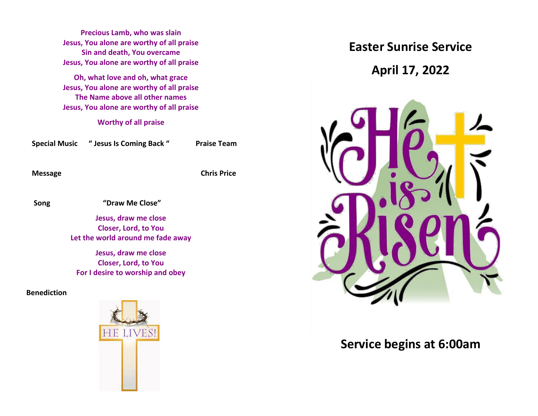**Precious Lamb, who was slain Jesus, You alone are worthy of all praise Sin and death, You overcame Jesus, You alone are worthy of all praise**

**Oh, what love and oh, what grace Jesus, You alone are worthy of all praise The Name above all other names Jesus, You alone are worthy of all praise**

**Worthy of all praise**

| <b>Special Music</b> | " Jesus Is Coming Back " | <b>Praise Team</b> |
|----------------------|--------------------------|--------------------|
|                      |                          |                    |

 **Message Chris Price**

 **Song "Draw Me Close"** 

**Jesus, draw me close Closer, Lord, to You Let the world around me fade away**

**Jesus, draw me close Closer, Lord, to You For I desire to worship and obey**

**Benediction**



**Easter Sunrise Service**

**April 17, 2022**



# **Service begins at 6:00am**